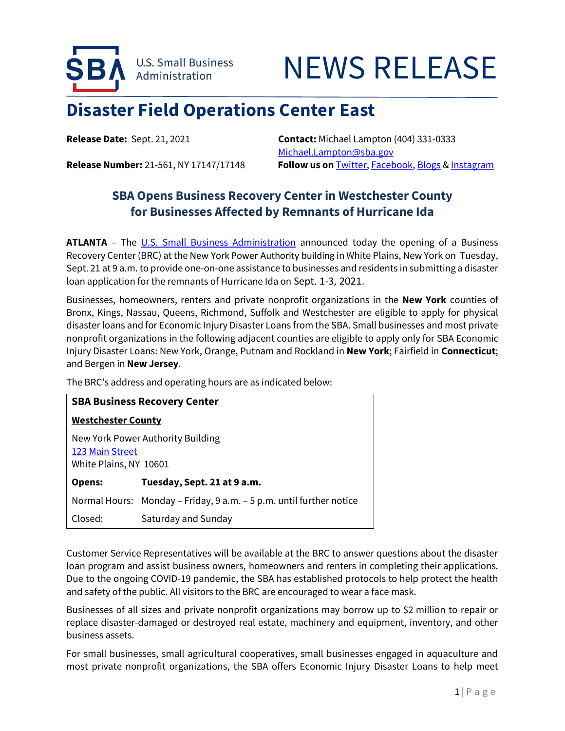

# NEWS RELEASE

# **Disaster Field Operations Center East**

**Release Date:** Sept. 21, 2021 **Contact:** Michael Lampton (404) 331-0333 [Michael.Lampton@sba.gov](mailto:Michael.Lampton@sba.gov) **Release Number:** 21-561, NY 17147/17148 **Follow us on** [Twitter,](http://www.twitter.com/SBAgov) [Facebook,](http://www.facebook.com/sbagov) [Blogs](http://www.sba.gov/blogs) [& Instagram](https://www.instagram.com/sbagov/)

## **SBA Opens Business Recovery Center in Westchester County for Businesses Affected by Remnants of Hurricane Ida**

ATLANTA – The U.S. [Small Business Administration](https://www.sba.gov/) announced today the opening of a Business Recovery Center (BRC) at the New York Power Authority building in White Plains, New York on Tuesday, Sept. 21 at 9 a.m. to provide one-on-one assistance to businesses and residents in submitting a disaster loan application for the remnants of Hurricane Ida on Sept. 1-3, 2021.

Businesses, homeowners, renters and private nonprofit organizations in the **New York** counties of Bronx, Kings, Nassau, Queens, Richmond, Suffolk and Westchester are eligible to apply for physical disaster loans and for Economic Injury Disaster Loans from the SBA. Small businesses and most private nonprofit organizations in the following adjacent counties are eligible to apply only for SBA Economic Injury Disaster Loans: New York, Orange, Putnam and Rockland in **New York**; Fairfield in **Connecticut**; and Bergen in **New Jersey**.

The BRC's address and operating hours are as indicated below:

| <b>SBA Business Recovery Center</b>                                            |                                                                     |
|--------------------------------------------------------------------------------|---------------------------------------------------------------------|
| <b>Westchester County</b>                                                      |                                                                     |
| New York Power Authority Building<br>123 Main Street<br>White Plains, NY 10601 |                                                                     |
| <b>Opens:</b>                                                                  | Tuesday, Sept. 21 at 9 a.m.                                         |
|                                                                                | Normal Hours: Monday – Friday, 9 a.m. – 5 p.m. until further notice |
| Closed:                                                                        | Saturday and Sunday                                                 |

Customer Service Representatives will be available at the BRC to answer questions about the disaster loan program and assist business owners, homeowners and renters in completing their applications. Due to the ongoing COVID-19 pandemic, the SBA has established protocols to help protect the health and safety of the public. All visitors to the BRC are encouraged to wear a face mask.

Businesses of all sizes and private nonprofit organizations may borrow up to \$2 million to repair or replace disaster-damaged or destroyed real estate, machinery and equipment, inventory, and other business assets.

For small businesses, small agricultural cooperatives, small businesses engaged in aquaculture and most private nonprofit organizations, the SBA offers Economic Injury Disaster Loans to help meet